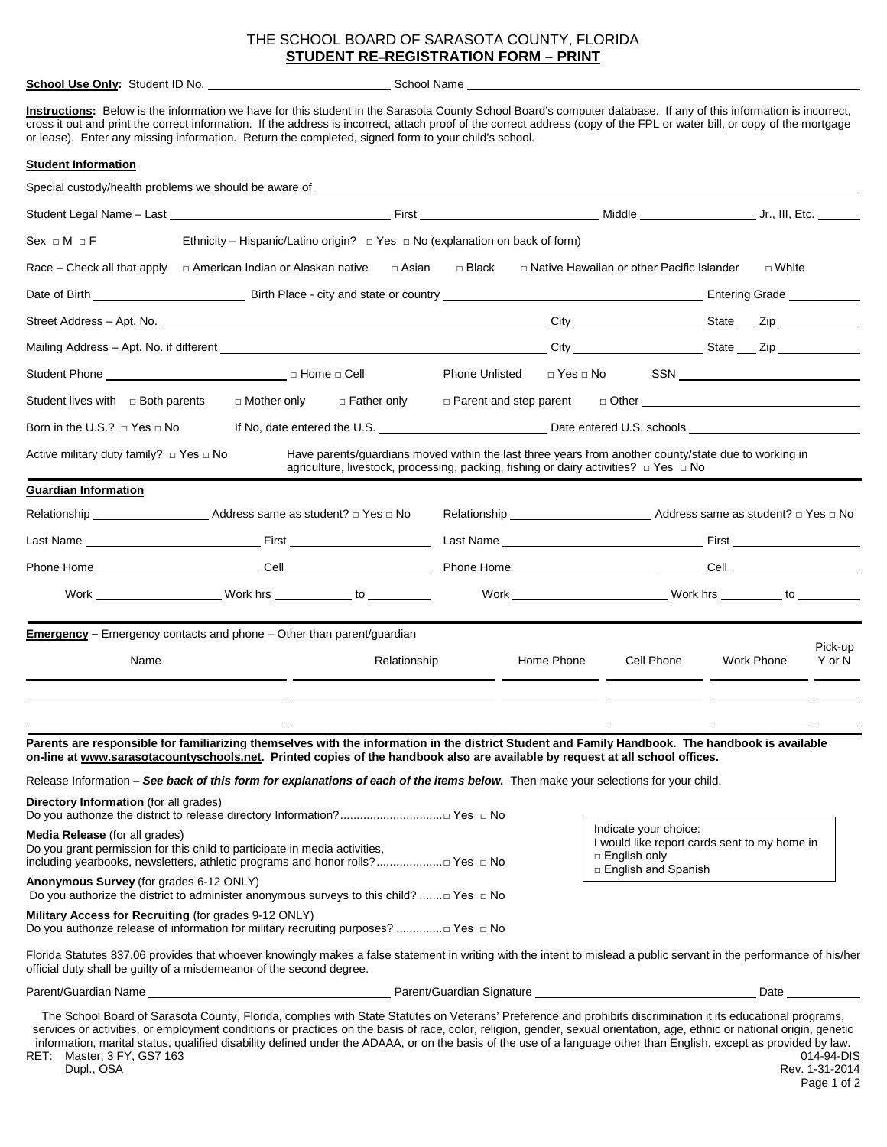#### THE SCHOOL BOARD OF SARASOTA COUNTY, FLORIDA **STUDENT RE**–**REGISTRATION FORM – PRINT**

**School Use Only:** Student ID No. School Name School Name

**Instructions:** Below is the information we have for this student in the Sarasota County School Board's computer database. If any of this information is incorrect, cross it out and print the correct information. If the address is incorrect, attach proof of the correct address (copy of the FPL or water bill, or copy of the mortgage or lease). Enter any missing information. Return the completed, signed form to your child's school.

#### **Student Information**

| Special custody/health problems we should be aware of                                                                                                                                                                                                                             |                                                                                                                                                                                                                                |                                                                                                                                                                                                        |                                                                                                                      |            |                                                                    |  |            |         |
|-----------------------------------------------------------------------------------------------------------------------------------------------------------------------------------------------------------------------------------------------------------------------------------|--------------------------------------------------------------------------------------------------------------------------------------------------------------------------------------------------------------------------------|--------------------------------------------------------------------------------------------------------------------------------------------------------------------------------------------------------|----------------------------------------------------------------------------------------------------------------------|------------|--------------------------------------------------------------------|--|------------|---------|
|                                                                                                                                                                                                                                                                                   |                                                                                                                                                                                                                                |                                                                                                                                                                                                        |                                                                                                                      |            |                                                                    |  |            |         |
| Sex ⊡ M ⊂ F                                                                                                                                                                                                                                                                       | Ethnicity – Hispanic/Latino origin? $\Box$ Yes $\Box$ No (explanation on back of form)                                                                                                                                         |                                                                                                                                                                                                        |                                                                                                                      |            |                                                                    |  |            |         |
| Race – Check all that apply $\Box$ American Indian or Alaskan native $\Box$ Asian $\Box$ Black                                                                                                                                                                                    |                                                                                                                                                                                                                                |                                                                                                                                                                                                        |                                                                                                                      |            | $\Box$ Native Hawaiian or other Pacific Islander $\Box$ White      |  |            |         |
|                                                                                                                                                                                                                                                                                   |                                                                                                                                                                                                                                |                                                                                                                                                                                                        |                                                                                                                      |            |                                                                    |  |            |         |
|                                                                                                                                                                                                                                                                                   |                                                                                                                                                                                                                                |                                                                                                                                                                                                        |                                                                                                                      |            |                                                                    |  |            |         |
|                                                                                                                                                                                                                                                                                   |                                                                                                                                                                                                                                |                                                                                                                                                                                                        |                                                                                                                      |            |                                                                    |  |            |         |
|                                                                                                                                                                                                                                                                                   |                                                                                                                                                                                                                                |                                                                                                                                                                                                        |                                                                                                                      |            | Phone Unlisted □ Yes □ No SSN <u>_____________________________</u> |  |            |         |
| Student lives with $\Box$ Both parents                                                                                                                                                                                                                                            | □ Mother only                                                                                                                                                                                                                  | □ Father only                                                                                                                                                                                          |                                                                                                                      |            | $\Box$ Parent and step parent $\Box$ Other                         |  |            |         |
| Born in the U.S.? $\Box$ Yes $\Box$ No                                                                                                                                                                                                                                            |                                                                                                                                                                                                                                |                                                                                                                                                                                                        |                                                                                                                      |            |                                                                    |  |            |         |
| Active military duty family? □ Yes □ No                                                                                                                                                                                                                                           |                                                                                                                                                                                                                                | Have parents/guardians moved within the last three years from another county/state due to working in<br>agriculture, livestock, processing, packing, fishing or dairy activities? $\Box$ Yes $\Box$ No |                                                                                                                      |            |                                                                    |  |            |         |
| <b>Guardian Information</b>                                                                                                                                                                                                                                                       |                                                                                                                                                                                                                                |                                                                                                                                                                                                        |                                                                                                                      |            |                                                                    |  |            |         |
|                                                                                                                                                                                                                                                                                   |                                                                                                                                                                                                                                |                                                                                                                                                                                                        |                                                                                                                      |            |                                                                    |  |            |         |
|                                                                                                                                                                                                                                                                                   |                                                                                                                                                                                                                                |                                                                                                                                                                                                        |                                                                                                                      |            |                                                                    |  |            |         |
|                                                                                                                                                                                                                                                                                   |                                                                                                                                                                                                                                |                                                                                                                                                                                                        |                                                                                                                      |            |                                                                    |  |            |         |
|                                                                                                                                                                                                                                                                                   | Work Nork hrs to to to the to the work hrs to the to the to the to the to the to the to the to the to the to the to the to the to the to the to the to the to the to the to the to the to the to the to the to the to the to t |                                                                                                                                                                                                        |                                                                                                                      |            |                                                                    |  |            |         |
| <b>Emergency</b> - Emergency contacts and phone - Other than parent/guardian                                                                                                                                                                                                      |                                                                                                                                                                                                                                |                                                                                                                                                                                                        |                                                                                                                      |            |                                                                    |  |            | Pick-up |
| Name                                                                                                                                                                                                                                                                              |                                                                                                                                                                                                                                | Relationship                                                                                                                                                                                           |                                                                                                                      | Home Phone | Cell Phone                                                         |  | Work Phone | Y or N  |
|                                                                                                                                                                                                                                                                                   |                                                                                                                                                                                                                                |                                                                                                                                                                                                        | <u> 1980 - Jan Samuel Barbara, poeta esperanto-poeta esperanto-poeta esperanto-poeta esperanto-poeta esperanto-p</u> |            |                                                                    |  |            |         |
| Parents are responsible for familiarizing themselves with the information in the district Student and Family Handbook. The handbook is available<br>on-line at www.sarasotacountyschools.net. Printed copies of the handbook also are available by request at all school offices. |                                                                                                                                                                                                                                |                                                                                                                                                                                                        |                                                                                                                      |            |                                                                    |  |            |         |
| Release Information - See back of this form for explanations of each of the items below. Then make your selections for your child.                                                                                                                                                |                                                                                                                                                                                                                                |                                                                                                                                                                                                        |                                                                                                                      |            |                                                                    |  |            |         |
| <b>Directory Information</b> (for all grades)<br>Do you authorize the district to release directory Information?□ Yes □ No                                                                                                                                                        |                                                                                                                                                                                                                                |                                                                                                                                                                                                        |                                                                                                                      |            |                                                                    |  |            |         |
| <b>Media Release</b> (for all grades)<br>Do you grant permission for this child to participate in media activities.                                                                                                                                                               |                                                                                                                                                                                                                                | Indicate your choice:<br>I would like report cards sent to my home in                                                                                                                                  |                                                                                                                      |            |                                                                    |  |            |         |

including yearbooks, newsletters, athletic programs and honor rolls?....................□ Yes □ No **Anonymous Survey** (for grades 6-12 ONLY) Do you authorize the district to administer anonymous surveys to this child? .......□ Yes □ No **Military Access for Recruiting** (for grades 9-12 ONLY)

Do you authorize release of information for military recruiting purposes? ..............□ Yes □ No

I would like report cards sent to my home in □ English only □ English and Spanish

Florida Statutes 837.06 provides that whoever knowingly makes a false statement in writing with the intent to mislead a public servant in the performance of his/her official duty shall be guilty of a misdemeanor of the second degree.

Parent/Guardian Name **Parent/Guardian Signature** Parent/Guardian Signature **Parent/Guardian Signature** Date

The School Board of Sarasota County, Florida, complies with State Statutes on Veterans' Preference and prohibits discrimination it its educational programs, services or activities, or employment conditions or practices on the basis of race, color, religion, gender, sexual orientation, age, ethnic or national origin, genetic information, marital status, qualified disability defined under the ADAAA, or on the basis of the use of a language other than English, except as provided by law. Master, 3 FY, GS7 163